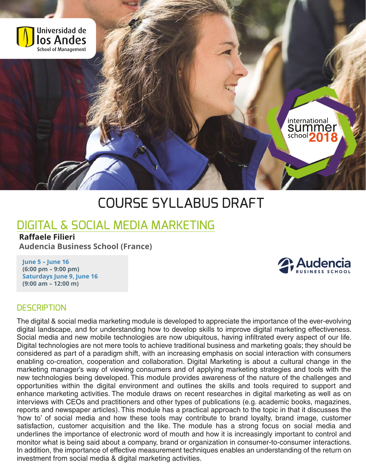

# COURSE SYLLABUS DRAFT

## DIGITAL & SOCIAL MEDIA MARKETING

#### **Raffaele Filieri**

**Audencia Business School (France)**

**June 5 – June 16 (6:00 pm – 9:00 pm) Saturdays June 9, June 16 (9:00 am – 12:00 m)**



international summel school **2** 

#### **DESCRIPTION**

The digital & social media marketing module is developed to appreciate the importance of the ever-evolving digital landscape, and for understanding how to develop skills to improve digital marketing effectiveness. Social media and new mobile technologies are now ubiquitous, having infiltrated every aspect of our life. Digital technologies are not mere tools to achieve traditional business and marketing goals; they should be considered as part of a paradigm shift, with an increasing emphasis on social interaction with consumers enabling co-creation, cooperation and collaboration. Digital Marketing is about a cultural change in the marketing manager's way of viewing consumers and of applying marketing strategies and tools with the new technologies being developed. This module provides awareness of the nature of the challenges and opportunities within the digital environment and outlines the skills and tools required to support and enhance marketing activities. The module draws on recent researches in digital marketing as well as on interviews with CEOs and practitioners and other types of publications (e.g. academic books, magazines, reports and newspaper articles). This module has a practical approach to the topic in that it discusses the 'how to' of social media and how these tools may contribute to brand loyalty, brand image, customer satisfaction, customer acquisition and the like. The module has a strong focus on social media and underlines the importance of electronic word of mouth and how it is increasingly important to control and monitor what is being said about a company, brand or organization in consumer-to-consumer interactions. In addition, the importance of effective measurement techniques enables an understanding of the return on investment from social media & digital marketing activities.